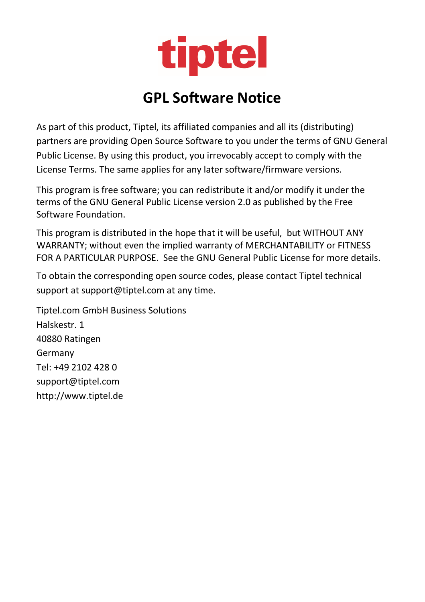

# **GPL Software Notice**

As part of this product, Tiptel, its affiliated companies and all its (distributing) partners are providing Open Source Software to you under the terms of GNU General Public License. By using this product, you irrevocably accept to comply with the License Terms. The same applies for any later software/firmware versions.

This program is free software; you can redistribute it and/or modify it under the terms of the GNU General Public License version 2.0 as published by the Free Software Foundation.

This program is distributed in the hope that it will be useful, but WITHOUT ANY WARRANTY; without even the implied warranty of MERCHANTABILITY or FITNESS FOR A PARTICULAR PURPOSE. See the GNU General Public License for more details.

To obtain the corresponding open source codes, please contact Tiptel technical support at support@tiptel.com at any time.

Tiptel.com GmbH Business Solutions Halskestr. 1 40880 Ratingen Germany Tel: +49 2102 428 0 support@tiptel.com http://www.tiptel.de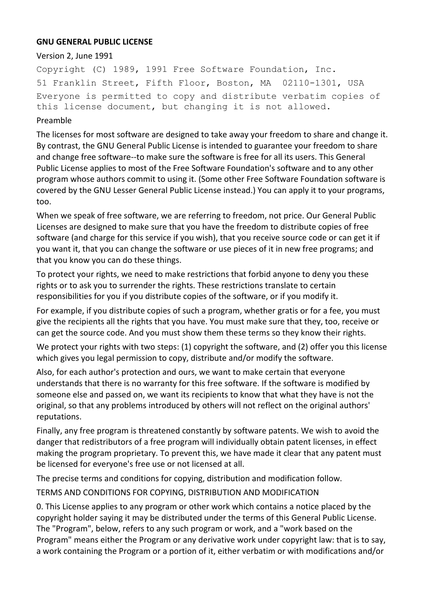### **GNU GENERAL PUBLIC LICENSE**

#### Version 2, June 1991

Copyright (C) 1989, 1991 Free Software Foundation, Inc. 51 Franklin Street, Fifth Floor, Boston, MA 02110-1301, USA Everyone is permitted to copy and distribute verbatim copies of this license document, but changing it is not allowed.

#### Preamble

The licenses for most software are designed to take away your freedom to share and change it. By contrast, the GNU General Public License is intended to guarantee your freedom to share and change free software--to make sure the software is free for all its users. This General Public License applies to most of the Free Software Foundation's software and to any other program whose authors commit to using it. (Some other Free Software Foundation software is covered by the GNU Lesser General Public License instead.) You can apply it to your programs, too.

When we speak of free software, we are referring to freedom, not price. Our General Public Licenses are designed to make sure that you have the freedom to distribute copies of free software (and charge for this service if you wish), that you receive source code or can get it if you want it, that you can change the software or use pieces of it in new free programs; and that you know you can do these things.

To protect your rights, we need to make restrictions that forbid anyone to deny you these rights or to ask you to surrender the rights. These restrictions translate to certain responsibilities for you if you distribute copies of the software, or if you modify it.

For example, if you distribute copies of such a program, whether gratis or for a fee, you must give the recipients all the rights that you have. You must make sure that they, too, receive or can get the source code. And you must show them these terms so they know their rights.

We protect your rights with two steps: (1) copyright the software, and (2) offer you this license which gives you legal permission to copy, distribute and/or modify the software.

Also, for each author's protection and ours, we want to make certain that everyone understands that there is no warranty for this free software. If the software is modified by someone else and passed on, we want its recipients to know that what they have is not the original, so that any problems introduced by others will not reflect on the original authors' reputations.

Finally, any free program is threatened constantly by software patents. We wish to avoid the danger that redistributors of a free program will individually obtain patent licenses, in effect making the program proprietary. To prevent this, we have made it clear that any patent must be licensed for everyone's free use or not licensed at all.

The precise terms and conditions for copying, distribution and modification follow.

TERMS AND CONDITIONS FOR COPYING, DISTRIBUTION AND MODIFICATION

0. This License applies to any program or other work which contains a notice placed by the copyright holder saying it may be distributed under the terms of this General Public License. The "Program", below, refers to any such program or work, and a "work based on the Program" means either the Program or any derivative work under copyright law: that is to say, a work containing the Program or a portion of it, either verbatim or with modifications and/or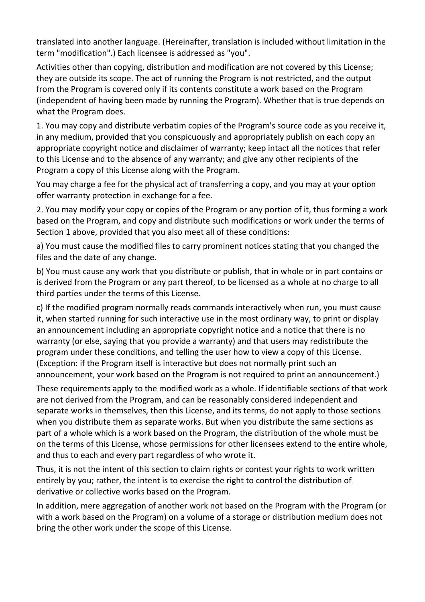translated into another language. (Hereinafter, translation is included without limitation in the term "modification".) Each licensee is addressed as "you".

Activities other than copying, distribution and modification are not covered by this License; they are outside its scope. The act of running the Program is not restricted, and the output from the Program is covered only if its contents constitute a work based on the Program (independent of having been made by running the Program). Whether that is true depends on what the Program does.

1. You may copy and distribute verbatim copies of the Program's source code as you receive it, in any medium, provided that you conspicuously and appropriately publish on each copy an appropriate copyright notice and disclaimer of warranty; keep intact all the notices that refer to this License and to the absence of any warranty; and give any other recipients of the Program a copy of this License along with the Program.

You may charge a fee for the physical act of transferring a copy, and you may at your option offer warranty protection in exchange for a fee.

2. You may modify your copy or copies of the Program or any portion of it, thus forming a work based on the Program, and copy and distribute such modifications or work under the terms of Section 1 above, provided that you also meet all of these conditions:

a) You must cause the modified files to carry prominent notices stating that you changed the files and the date of any change.

b) You must cause any work that you distribute or publish, that in whole or in part contains or is derived from the Program or any part thereof, to be licensed as a whole at no charge to all third parties under the terms of this License.

c) If the modified program normally reads commands interactively when run, you must cause it, when started running for such interactive use in the most ordinary way, to print or display an announcement including an appropriate copyright notice and a notice that there is no warranty (or else, saying that you provide a warranty) and that users may redistribute the program under these conditions, and telling the user how to view a copy of this License. (Exception: if the Program itself is interactive but does not normally print such an announcement, your work based on the Program is not required to print an announcement.)

These requirements apply to the modified work as a whole. If identifiable sections of that work are not derived from the Program, and can be reasonably considered independent and separate works in themselves, then this License, and its terms, do not apply to those sections when you distribute them as separate works. But when you distribute the same sections as part of a whole which is a work based on the Program, the distribution of the whole must be on the terms of this License, whose permissions for other licensees extend to the entire whole, and thus to each and every part regardless of who wrote it.

Thus, it is not the intent of this section to claim rights or contest your rights to work written entirely by you; rather, the intent is to exercise the right to control the distribution of derivative or collective works based on the Program.

In addition, mere aggregation of another work not based on the Program with the Program (or with a work based on the Program) on a volume of a storage or distribution medium does not bring the other work under the scope of this License.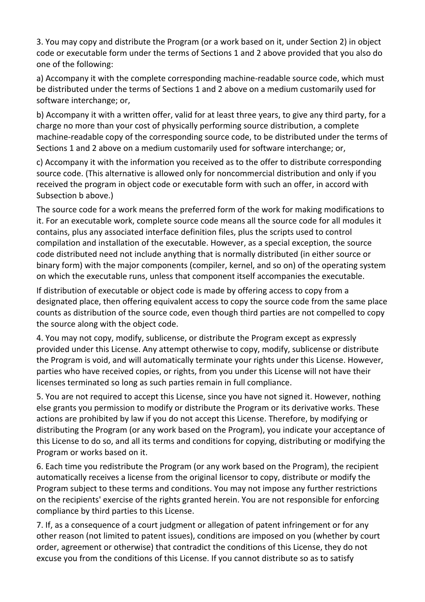3. You may copy and distribute the Program (or a work based on it, under Section 2) in object code or executable form under the terms of Sections 1 and 2 above provided that you also do one of the following:

a) Accompany it with the complete corresponding machine-readable source code, which must be distributed under the terms of Sections 1 and 2 above on a medium customarily used for software interchange; or,

b) Accompany it with a written offer, valid for at least three years, to give any third party, for a charge no more than your cost of physically performing source distribution, a complete machine-readable copy of the corresponding source code, to be distributed under the terms of Sections 1 and 2 above on a medium customarily used for software interchange; or,

c) Accompany it with the information you received as to the offer to distribute corresponding source code. (This alternative is allowed only for noncommercial distribution and only if you received the program in object code or executable form with such an offer, in accord with Subsection b above.)

The source code for a work means the preferred form of the work for making modifications to it. For an executable work, complete source code means all the source code for all modules it contains, plus any associated interface definition files, plus the scripts used to control compilation and installation of the executable. However, as a special exception, the source code distributed need not include anything that is normally distributed (in either source or binary form) with the major components (compiler, kernel, and so on) of the operating system on which the executable runs, unless that component itself accompanies the executable.

If distribution of executable or object code is made by offering access to copy from a designated place, then offering equivalent access to copy the source code from the same place counts as distribution of the source code, even though third parties are not compelled to copy the source along with the object code.

4. You may not copy, modify, sublicense, or distribute the Program except as expressly provided under this License. Any attempt otherwise to copy, modify, sublicense or distribute the Program is void, and will automatically terminate your rights under this License. However, parties who have received copies, or rights, from you under this License will not have their licenses terminated so long as such parties remain in full compliance.

5. You are not required to accept this License, since you have not signed it. However, nothing else grants you permission to modify or distribute the Program or its derivative works. These actions are prohibited by law if you do not accept this License. Therefore, by modifying or distributing the Program (or any work based on the Program), you indicate your acceptance of this License to do so, and all its terms and conditions for copying, distributing or modifying the Program or works based on it.

6. Each time you redistribute the Program (or any work based on the Program), the recipient automatically receives a license from the original licensor to copy, distribute or modify the Program subject to these terms and conditions. You may not impose any further restrictions on the recipients' exercise of the rights granted herein. You are not responsible for enforcing compliance by third parties to this License.

7. If, as a consequence of a court judgment or allegation of patent infringement or for any other reason (not limited to patent issues), conditions are imposed on you (whether by court order, agreement or otherwise) that contradict the conditions of this License, they do not excuse you from the conditions of this License. If you cannot distribute so as to satisfy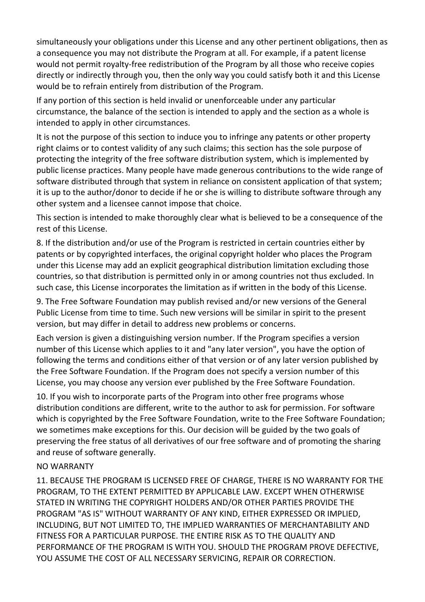simultaneously your obligations under this License and any other pertinent obligations, then as a consequence you may not distribute the Program at all. For example, if a patent license would not permit royalty-free redistribution of the Program by all those who receive copies directly or indirectly through you, then the only way you could satisfy both it and this License would be to refrain entirely from distribution of the Program.

If any portion of this section is held invalid or unenforceable under any particular circumstance, the balance of the section is intended to apply and the section as a whole is intended to apply in other circumstances.

It is not the purpose of this section to induce you to infringe any patents or other property right claims or to contest validity of any such claims; this section has the sole purpose of protecting the integrity of the free software distribution system, which is implemented by public license practices. Many people have made generous contributions to the wide range of software distributed through that system in reliance on consistent application of that system; it is up to the author/donor to decide if he or she is willing to distribute software through any other system and a licensee cannot impose that choice.

This section is intended to make thoroughly clear what is believed to be a consequence of the rest of this License.

8. If the distribution and/or use of the Program is restricted in certain countries either by patents or by copyrighted interfaces, the original copyright holder who places the Program under this License may add an explicit geographical distribution limitation excluding those countries, so that distribution is permitted only in or among countries not thus excluded. In such case, this License incorporates the limitation as if written in the body of this License.

9. The Free Software Foundation may publish revised and/or new versions of the General Public License from time to time. Such new versions will be similar in spirit to the present version, but may differ in detail to address new problems or concerns.

Each version is given a distinguishing version number. If the Program specifies a version number of this License which applies to it and "any later version", you have the option of following the terms and conditions either of that version or of any later version published by the Free Software Foundation. If the Program does not specify a version number of this License, you may choose any version ever published by the Free Software Foundation.

10. If you wish to incorporate parts of the Program into other free programs whose distribution conditions are different, write to the author to ask for permission. For software which is copyrighted by the Free Software Foundation, write to the Free Software Foundation; we sometimes make exceptions for this. Our decision will be guided by the two goals of preserving the free status of all derivatives of our free software and of promoting the sharing and reuse of software generally.

## NO WARRANTY

11. BECAUSE THE PROGRAM IS LICENSED FREE OF CHARGE, THERE IS NO WARRANTY FOR THE PROGRAM, TO THE EXTENT PERMITTED BY APPLICABLE LAW. EXCEPT WHEN OTHERWISE STATED IN WRITING THE COPYRIGHT HOLDERS AND/OR OTHER PARTIES PROVIDE THE PROGRAM "AS IS" WITHOUT WARRANTY OF ANY KIND, EITHER EXPRESSED OR IMPLIED, INCLUDING, BUT NOT LIMITED TO, THE IMPLIED WARRANTIES OF MERCHANTABILITY AND FITNESS FOR A PARTICULAR PURPOSE. THE ENTIRE RISK AS TO THE QUALITY AND PERFORMANCE OF THE PROGRAM IS WITH YOU. SHOULD THE PROGRAM PROVE DEFECTIVE, YOU ASSUME THE COST OF ALL NECESSARY SERVICING, REPAIR OR CORRECTION.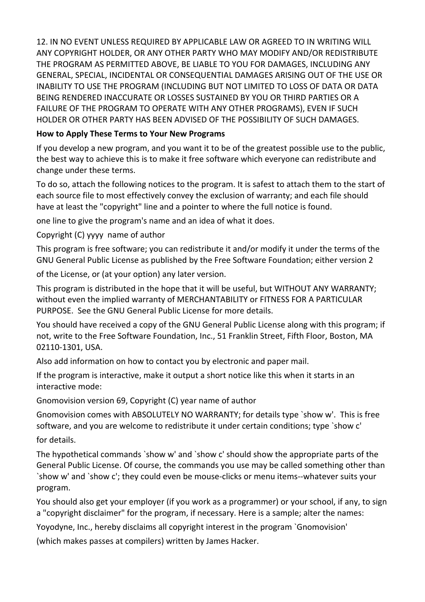12. IN NO EVENT UNLESS REQUIRED BY APPLICABLE LAW OR AGREED TO IN WRITING WILL ANY COPYRIGHT HOLDER, OR ANY OTHER PARTY WHO MAY MODIFY AND/OR REDISTRIBUTE THE PROGRAM AS PERMITTED ABOVE, BE LIABLE TO YOU FOR DAMAGES, INCLUDING ANY GENERAL, SPECIAL, INCIDENTAL OR CONSEQUENTIAL DAMAGES ARISING OUT OF THE USE OR INABILITY TO USE THE PROGRAM (INCLUDING BUT NOT LIMITED TO LOSS OF DATA OR DATA BEING RENDERED INACCURATE OR LOSSES SUSTAINED BY YOU OR THIRD PARTIES OR A FAILURE OF THE PROGRAM TO OPERATE WITH ANY OTHER PROGRAMS), EVEN IF SUCH HOLDER OR OTHER PARTY HAS BEEN ADVISED OF THE POSSIBILITY OF SUCH DAMAGES.

## **How to Apply These Terms to Your New Programs**

If you develop a new program, and you want it to be of the greatest possible use to the public, the best way to achieve this is to make it free software which everyone can redistribute and change under these terms.

To do so, attach the following notices to the program. It is safest to attach them to the start of each source file to most effectively convey the exclusion of warranty; and each file should have at least the "copyright" line and a pointer to where the full notice is found.

one line to give the program's name and an idea of what it does.

Copyright (C) yyyy name of author

This program is free software; you can redistribute it and/or modify it under the terms of the GNU General Public License as published by the Free Software Foundation; either version 2

of the License, or (at your option) any later version.

This program is distributed in the hope that it will be useful, but WITHOUT ANY WARRANTY; without even the implied warranty of MERCHANTABILITY or FITNESS FOR A PARTICULAR PURPOSE. See the GNU General Public License for more details.

You should have received a copy of the GNU General Public License along with this program; if not, write to the Free Software Foundation, Inc., 51 Franklin Street, Fifth Floor, Boston, MA 02110-1301, USA.

Also add information on how to contact you by electronic and paper mail.

If the program is interactive, make it output a short notice like this when it starts in an interactive mode:

Gnomovision version 69, Copyright (C) year name of author

Gnomovision comes with ABSOLUTELY NO WARRANTY; for details type `show w'. This is free software, and you are welcome to redistribute it under certain conditions; type `show c' for details.

The hypothetical commands `show w' and `show c' should show the appropriate parts of the General Public License. Of course, the commands you use may be called something other than `show w' and `show c'; they could even be mouse-clicks or menu items--whatever suits your program.

You should also get your employer (if you work as a programmer) or your school, if any, to sign a "copyright disclaimer" for the program, if necessary. Here is a sample; alter the names:

Yoyodyne, Inc., hereby disclaims all copyright interest in the program `Gnomovision'

(which makes passes at compilers) written by James Hacker.